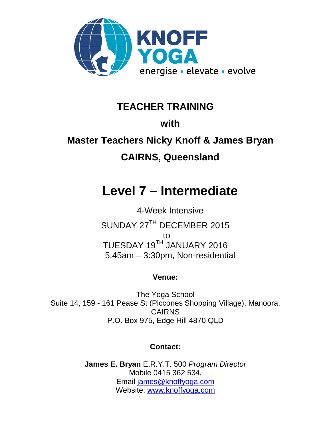

## **TEACHER TRAINING**

## **with**

# **Master Teachers Nicky Knoff & James Bryan CAIRNS, Queensland**

# **Level 7 – Intermediate**

4-Week Intensive SUNDAY 27TH DECEMBER 2015 to TUESDAY 19TH JANUARY 2016 5.45am – 3:30pm, Non-residential

### **Venue:**

The Yoga School Suite 14, 159 - 161 Pease St (Piccones Shopping Village), Manoora, CAIRNS P.O. Box 975, Edge Hill 4870 QLD

### **Contact:**

**James E. Bryan** E.R.Y.T. 500 *Program Director* Mobile 0415 362 534, Email james@knoffyoga.com Website: www.knoffyoga.com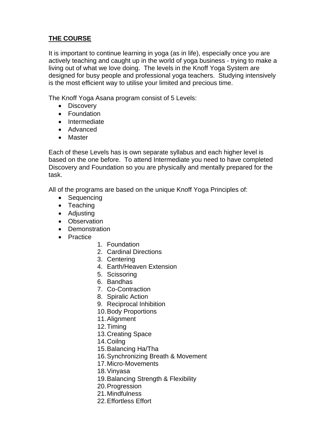#### **THE COURSE**

It is important to continue learning in yoga (as in life), especially once you are actively teaching and caught up in the world of yoga business - trying to make a living out of what we love doing. The levels in the Knoff Yoga System are designed for busy people and professional yoga teachers. Studying intensively is the most efficient way to utilise your limited and precious time.

The Knoff Yoga Asana program consist of 5 Levels:

- Discovery
- Foundation
- Intermediate
- Advanced
- Master

Each of these Levels has is own separate syllabus and each higher level is based on the one before. To attend Intermediate you need to have completed Discovery and Foundation so you are physically and mentally prepared for the task.

All of the programs are based on the unique Knoff Yoga Principles of:

- Sequencing
- Teaching
- Adjusting
- Observation
- Demonstration
- Practice
- 1. Foundation
- 2. Cardinal Directions
- 3. Centering
- 4. Earth/Heaven Extension
- 5. Scissoring
- 6. Bandhas
- 7. Co-Contraction
- 8. Spiralic Action
- 9. Reciprocal Inhibition
- 10.Body Proportions
- 11.Alignment
- 12.Timing
- 13.Creating Space
- 14.Coilng
- 15.Balancing Ha/Tha
- 16.Synchronizing Breath & Movement
- 17.Micro-Movements
- 18.Vinyasa
- 19.Balancing Strength & Flexibility
- 20.Progression
- 21.Mindfulness
- 22.Effortless Effort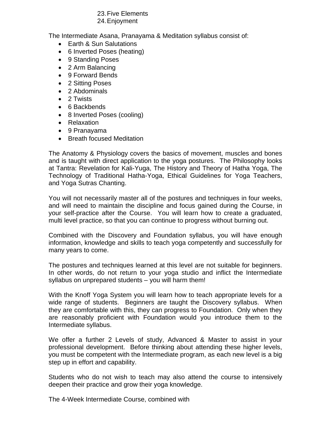#### 23.Five Elements

#### 24.Enjoyment

The Intermediate Asana, Pranayama & Meditation syllabus consist of:

- Earth & Sun Salutations
- 6 Inverted Poses (heating)
- 9 Standing Poses
- 2 Arm Balancing
- 9 Forward Bends
- 2 Sitting Poses
- 2 Abdominals
- 2 Twists
- 6 Backbends
- 8 Inverted Poses (cooling)
- Relaxation
- 9 Pranayama
- Breath focused Meditation

The Anatomy & Physiology covers the basics of movement, muscles and bones and is taught with direct application to the yoga postures. The Philosophy looks at Tantra: Revelation for Kali-Yuga, The History and Theory of Hatha Yoga, The Technology of Traditional Hatha-Yoga, Ethical Guidelines for Yoga Teachers, and Yoga Sutras Chanting.

You will not necessarily master all of the postures and techniques in four weeks, and will need to maintain the discipline and focus gained during the Course, in your self-practice after the Course. You will learn how to create a graduated, multi level practice, so that you can continue to progress without burning out.

Combined with the Discovery and Foundation syllabus, you will have enough information, knowledge and skills to teach yoga competently and successfully for many years to come.

The postures and techniques learned at this level are not suitable for beginners. In other words, do not return to your yoga studio and inflict the Intermediate syllabus on unprepared students – you will harm them!

With the Knoff Yoga System you will learn how to teach appropriate levels for a wide range of students. Beginners are taught the Discovery syllabus. When they are comfortable with this, they can progress to Foundation. Only when they are reasonably proficient with Foundation would you introduce them to the Intermediate syllabus.

We offer a further 2 Levels of study, Advanced & Master to assist in your professional development. Before thinking about attending these higher levels, you must be competent with the Intermediate program, as each new level is a big step up in effort and capability.

Students who do not wish to teach may also attend the course to intensively deepen their practice and grow their yoga knowledge.

The 4-Week Intermediate Course, combined with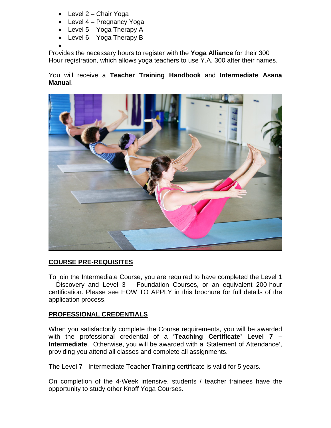- Level 2 Chair Yoga
- Level 4 Pregnancy Yoga
- $\bullet$  Level 5 Yoga Therapy A
- $\bullet$  Level 6 Yoga Therapy B

 $\bullet$ 

Provides the necessary hours to register with the **Yoga Alliance** for their 300 Hour registration, which allows yoga teachers to use Y.A. 300 after their names.

You will receive a **Teacher Training Handbook** and **Intermediate Asana Manual**.



#### **COURSE PRE-REQUISITES**

To join the Intermediate Course, you are required to have completed the Level 1 – Discovery and Level 3 – Foundation Courses, or an equivalent 200-hour certification. Please see HOW TO APPLY in this brochure for full details of the application process.

#### **PROFESSIONAL CREDENTIALS**

When you satisfactorily complete the Course requirements, you will be awarded with the professional credential of a '**Teaching Certificate' Level 7 – Intermediate**. Otherwise, you will be awarded with a 'Statement of Attendance', providing you attend all classes and complete all assignments.

The Level 7 - Intermediate Teacher Training certificate is valid for 5 years.

On completion of the 4-Week intensive, students / teacher trainees have the opportunity to study other Knoff Yoga Courses.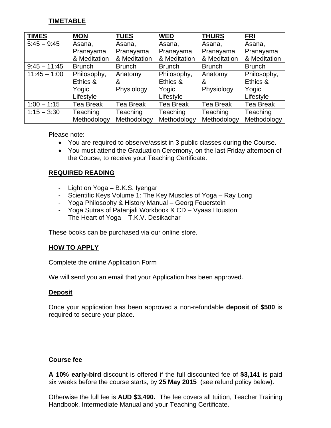#### **TIMETABLE**

| <b>TIMES</b>   | <b>MON</b>    | <b>TUES</b>      | <b>WED</b>       | <b>THURS</b>     | <b>FRI</b>       |
|----------------|---------------|------------------|------------------|------------------|------------------|
| $5:45 - 9:45$  | Asana,        | Asana,           | Asana,           | Asana,           | Asana,           |
|                | Pranayama     | Pranayama        | Pranayama        | Pranayama        | Pranayama        |
|                | & Meditation  | & Meditation     | & Meditation     | & Meditation     | & Meditation     |
| $9:45 - 11:45$ | <b>Brunch</b> | <b>Brunch</b>    | <b>Brunch</b>    | <b>Brunch</b>    | <b>Brunch</b>    |
| $11:45 - 1:00$ | Philosophy,   | Anatomy          | Philosophy,      | Anatomy          | Philosophy,      |
|                | Ethics &      | &                | Ethics &         | &                | Ethics &         |
|                | Yogic         | Physiology       | Yogic            | Physiology       | Yogic            |
|                | Lifestyle     |                  | Lifestyle        |                  | Lifestyle        |
| $1:00 - 1:15$  | Tea Break     | <b>Tea Break</b> | <b>Tea Break</b> | <b>Tea Break</b> | <b>Tea Break</b> |
| $1:15 - 3:30$  | Teaching      | <b>Teaching</b>  | Teaching         | Teaching         | Teaching         |
|                | Methodology   | Methodology      | Methodology      | Methodology      | Methodology      |

Please note:

- You are required to observe/assist in 3 public classes during the Course.
- You must attend the Graduation Ceremony, on the last Friday afternoon of the Course, to receive your Teaching Certificate.

#### **REQUIRED READING**

- Light on Yoga B.K.S. Iyengar
- Scientific Keys Volume 1: The Key Muscles of Yoga Ray Long
- Yoga Philosophy & History Manual Georg Feuerstein
- Yoga Sutras of Patanjali Workbook & CD Vyaas Houston
- The Heart of Yoga T.K.V. Desikachar

These books can be purchased via our online store.

#### **HOW TO APPLY**

Complete the online Application Form

We will send you an email that your Application has been approved.

#### **Deposit**

Once your application has been approved a non-refundable **deposit of \$500** is required to secure your place.

#### **Course fee**

**A 10% early-bird** discount is offered if the full discounted fee of **\$3,141** is paid six weeks before the course starts, by **25 May 2015** (see refund policy below).

Otherwise the full fee is **AUD \$3,490.** The fee covers all tuition, Teacher Training Handbook, Intermediate Manual and your Teaching Certificate.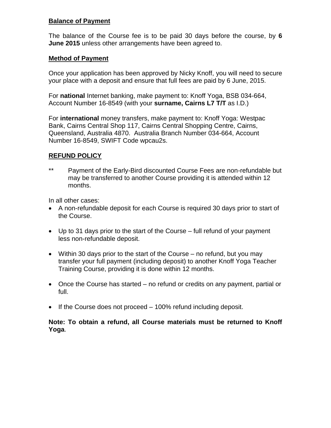#### **Balance of Payment**

The balance of the Course fee is to be paid 30 days before the course, by **6 June 2015** unless other arrangements have been agreed to.

#### **Method of Payment**

Once your application has been approved by Nicky Knoff, you will need to secure your place with a deposit and ensure that full fees are paid by 6 June, 2015.

For **national** Internet banking, make payment to: Knoff Yoga, BSB 034-664, Account Number 16-8549 (with your **surname, Cairns L7 T/T** as I.D.)

For **international** money transfers, make payment to: Knoff Yoga: Westpac Bank, Cairns Central Shop 117, Cairns Central Shopping Centre, Cairns, Queensland, Australia 4870. Australia Branch Number 034-664, Account Number 16-8549, SWIFT Code wpcau2s.

#### **REFUND POLICY**

\*\* Payment of the Early-Bird discounted Course Fees are non-refundable but may be transferred to another Course providing it is attended within 12 months.

In all other cases:

- A non-refundable deposit for each Course is required 30 days prior to start of the Course.
- Up to 31 days prior to the start of the Course full refund of your payment less non-refundable deposit.
- Within 30 days prior to the start of the Course  $-$  no refund, but you may transfer your full payment (including deposit) to another Knoff Yoga Teacher Training Course, providing it is done within 12 months.
- Once the Course has started no refund or credits on any payment, partial or full.
- $\bullet$  If the Course does not proceed  $-100\%$  refund including deposit.

**Note: To obtain a refund, all Course materials must be returned to Knoff Yoga**.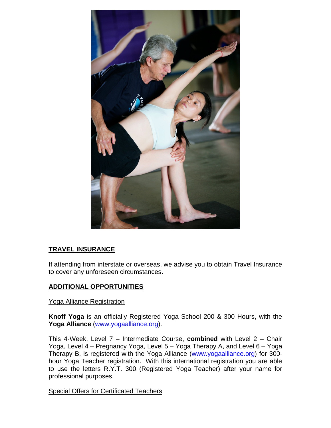

#### **TRAVEL INSURANCE**

If attending from interstate or overseas, we advise you to obtain Travel Insurance to cover any unforeseen circumstances.

#### **ADDITIONAL OPPORTUNITIES**

Yoga Alliance Registration

**Knoff Yoga** is an officially Registered Yoga School 200 & 300 Hours, with the **Yoga Alliance** (www.yogaalliance.org).

This 4-Week, Level 7 – Intermediate Course, **combined** with Level 2 – Chair Yoga, Level 4 – Pregnancy Yoga, Level 5 – Yoga Therapy A, and Level 6 – Yoga Therapy B, is registered with the Yoga Alliance (www.yogaalliance.org) for 300 hour Yoga Teacher registration. With this international registration you are able to use the letters R.Y.T. 300 (Registered Yoga Teacher) after your name for professional purposes.

Special Offers for Certificated Teachers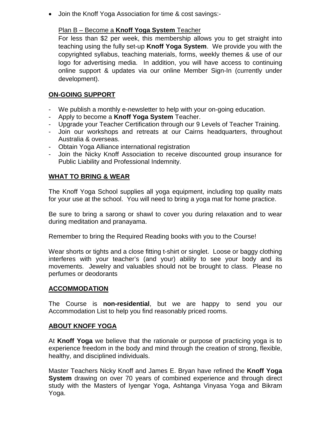Join the Knoff Yoga Association for time & cost savings:-

#### Plan B – Become a **Knoff Yoga System** Teacher

For less than \$2 per week, this membership allows you to get straight into teaching using the fully set-up **Knoff Yoga System**. We provide you with the copyrighted syllabus, teaching materials, forms, weekly themes & use of our logo for advertising media. In addition, you will have access to continuing online support & updates via our online Member Sign-In (currently under development).

#### **ON-GOING SUPPORT**

- We publish a monthly e-newsletter to help with your on-going education.
- Apply to become a **Knoff Yoga System** Teacher.
- Upgrade your Teacher Certification through our 9 Levels of Teacher Training.
- Join our workshops and retreats at our Cairns headquarters, throughout Australia & overseas.
- Obtain Yoga Alliance international registration
- Join the Nicky Knoff Association to receive discounted group insurance for Public Liability and Professional Indemnity.

#### **WHAT TO BRING & WEAR**

The Knoff Yoga School supplies all yoga equipment, including top quality mats for your use at the school. You will need to bring a yoga mat for home practice.

Be sure to bring a sarong or shawl to cover you during relaxation and to wear during meditation and pranayama.

Remember to bring the Required Reading books with you to the Course!

Wear shorts or tights and a close fitting t-shirt or singlet. Loose or baggy clothing interferes with your teacher's (and your) ability to see your body and its movements. Jewelry and valuables should not be brought to class. Please no perfumes or deodorants

#### **ACCOMMODATION**

The Course is **non-residential**, but we are happy to send you our Accommodation List to help you find reasonably priced rooms.

#### **ABOUT KNOFF YOGA**

At **Knoff Yoga** we believe that the rationale or purpose of practicing yoga is to experience freedom in the body and mind through the creation of strong, flexible, healthy, and disciplined individuals.

Master Teachers Nicky Knoff and James E. Bryan have refined the **Knoff Yoga System** drawing on over 70 years of combined experience and through direct study with the Masters of Iyengar Yoga, Ashtanga Vinyasa Yoga and Bikram Yoga.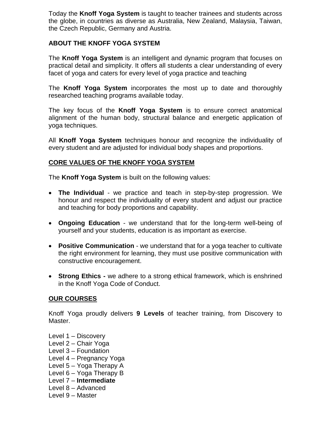Today the **Knoff Yoga System** is taught to teacher trainees and students across the globe, in countries as diverse as Australia, New Zealand, Malaysia, Taiwan, the Czech Republic, Germany and Austria.

#### **ABOUT THE KNOFF YOGA SYSTEM**

The **Knoff Yoga System** is an intelligent and dynamic program that focuses on practical detail and simplicity. It offers all students a clear understanding of every facet of yoga and caters for every level of yoga practice and teaching

The **Knoff Yoga System** incorporates the most up to date and thoroughly researched teaching programs available today.

The key focus of the **Knoff Yoga System** is to ensure correct anatomical alignment of the human body, structural balance and energetic application of yoga techniques.

All **Knoff Yoga System** techniques honour and recognize the individuality of every student and are adjusted for individual body shapes and proportions.

#### **CORE VALUES OF THE KNOFF YOGA SYSTEM**

The **Knoff Yoga System** is built on the following values:

- **The Individual** we practice and teach in step-by-step progression. We honour and respect the individuality of every student and adjust our practice and teaching for body proportions and capability.
- **Ongoing Education** we understand that for the long-term well-being of yourself and your students, education is as important as exercise.
- **Positive Communication** we understand that for a yoga teacher to cultivate the right environment for learning, they must use positive communication with constructive encouragement.
- **Strong Ethics -** we adhere to a strong ethical framework, which is enshrined in the Knoff Yoga Code of Conduct.

#### **OUR COURSES**

Knoff Yoga proudly delivers **9 Levels** of teacher training, from Discovery to Master.

- Level 1 Discovery Level 2 – Chair Yoga Level 3 – Foundation Level 4 – Pregnancy Yoga Level 5 – Yoga Therapy A Level 6 – Yoga Therapy B Level 7 – **Intermediate** Level 8 – Advanced
- Level 9 Master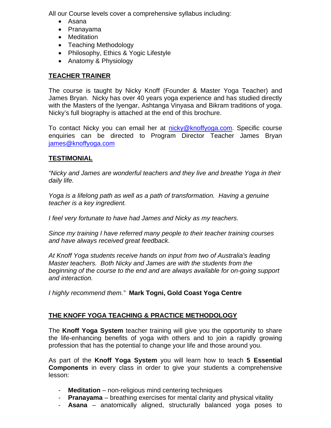All our Course levels cover a comprehensive syllabus including:

- Asana
- Pranayama
- Meditation
- Teaching Methodology
- Philosophy, Ethics & Yogic Lifestyle
- Anatomy & Physiology

#### **TEACHER TRAINER**

The course is taught by Nicky Knoff (Founder & Master Yoga Teacher) and James Bryan. Nicky has over 40 years yoga experience and has studied directly with the Masters of the Iyengar, Ashtanga Vinyasa and Bikram traditions of yoga. Nicky's full biography is attached at the end of this brochure.

To contact Nicky you can email her at nicky@knoffyoga.com. Specific course enquiries can be directed to Program Director Teacher James Bryan james@knoffyoga.com

#### **TESTIMONIAL**

*"Nicky and James are wonderful teachers and they live and breathe Yoga in their daily life.*

*Yoga is a lifelong path as well as a path of transformation. Having a genuine teacher is a key ingredient.*

*I feel very fortunate to have had James and Nicky as my teachers.*

*Since my training I have referred many people to their teacher training courses and have always received great feedback.*

*At Knoff Yoga students receive hands on input from two of Australia's leading Master teachers. Both Nicky and James are with the students from the beginning of the course to the end and are always available for on-going support and interaction.*

*I highly recommend them."* **Mark Togni, Gold Coast Yoga Centre**

#### **THE KNOFF YOGA TEACHING & PRACTICE METHODOLOGY**

The **Knoff Yoga System** teacher training will give you the opportunity to share the life-enhancing benefits of yoga with others and to join a rapidly growing profession that has the potential to change your life and those around you.

As part of the **Knoff Yoga System** you will learn how to teach **5 Essential Components** in every class in order to give your students a comprehensive lesson:

- **Meditation** non-religious mind centering techniques
- **Pranayama** breathing exercises for mental clarity and physical vitality
- **Asana** anatomically aligned, structurally balanced yoga poses to